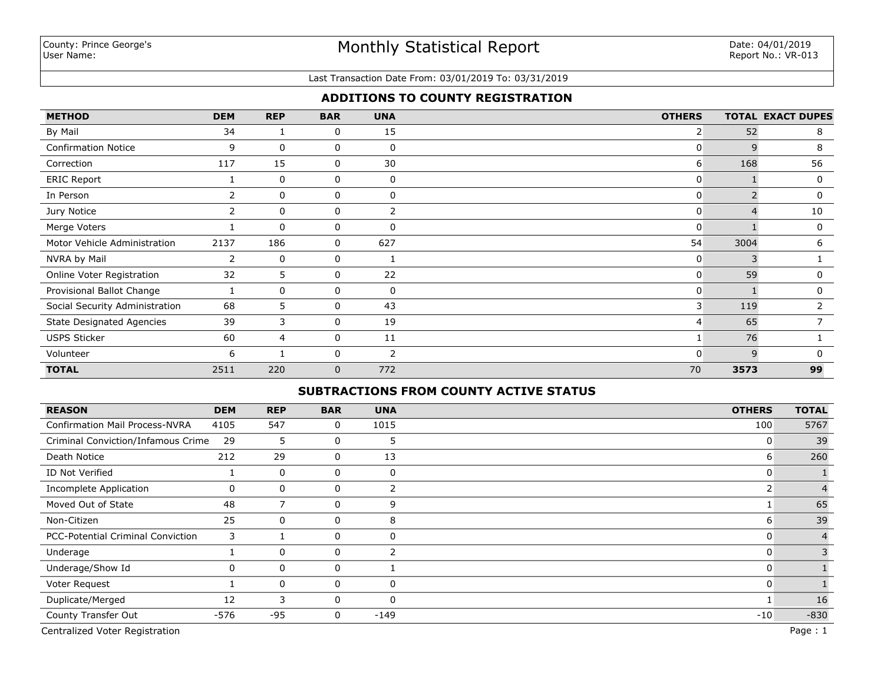#### Last Transaction Date From: 03/01/2019 To: 03/31/2019

## **ADDITIONS TO COUNTY REGISTRATION**

| <b>METHOD</b>                    | <b>DEM</b> | <b>REP</b>   | <b>BAR</b> | <b>UNA</b>     | <b>OTHERS</b>  |      | <b>TOTAL EXACT DUPES</b> |
|----------------------------------|------------|--------------|------------|----------------|----------------|------|--------------------------|
| By Mail                          | 34         | 1            | 0          | 15             | $\overline{2}$ | 52   | 8                        |
| <b>Confirmation Notice</b>       | 9          | 0            | 0          | 0              | 0              | 9    | 8                        |
| Correction                       | 117        | 15           | 0          | 30             | 6              | 168  | 56                       |
| <b>ERIC Report</b>               |            | $\Omega$     | 0          | 0              | 0              |      | 0                        |
| In Person                        | 2          | 0            | 0          | 0              | $\overline{0}$ |      | 0                        |
| Jury Notice                      |            | 0            | 0          | 2              | 0              |      | 10                       |
| Merge Voters                     |            | $\mathbf{0}$ | 0          | $\Omega$       | $\Omega$       |      | 0                        |
| Motor Vehicle Administration     | 2137       | 186          | 0          | 627            | 54             | 3004 | 6                        |
| NVRA by Mail                     | 2          | $\mathbf{0}$ | 0          |                | 0              | 3    |                          |
| Online Voter Registration        | 32         | 5            | 0          | 22             | $\overline{0}$ | 59   | 0                        |
| Provisional Ballot Change        |            | 0            | 0          | 0              | 0              |      | 0                        |
| Social Security Administration   | 68         | 5            | 0          | 43             | 3 <sup>1</sup> | 119  |                          |
| <b>State Designated Agencies</b> | 39         | 3            | 0          | 19             | 4              | 65   |                          |
| <b>USPS Sticker</b>              | 60         | 4            | 0          | 11             |                | 76   |                          |
| Volunteer                        | 6          | 1            | 0          | $\overline{2}$ | 0              | q    | $\Omega$                 |
| <b>TOTAL</b>                     | 2511       | 220          | 0          | 772            | 70             | 3573 | 99                       |

## **SUBTRACTIONS FROM COUNTY ACTIVE STATUS**

| <b>REASON</b>                         | <b>DEM</b> | <b>REP</b>     | <b>BAR</b>   | <b>UNA</b>     | <b>OTHERS</b> | <b>TOTAL</b>   |
|---------------------------------------|------------|----------------|--------------|----------------|---------------|----------------|
| <b>Confirmation Mail Process-NVRA</b> | 4105       | 547            | 0            | 1015           | 100           | 5767           |
| Criminal Conviction/Infamous Crime    | 29         | 5              | 0            | 5              | 0             | 39             |
| Death Notice                          | 212        | 29             | 0            | 13             | 6             | 260            |
| ID Not Verified                       |            | $\mathbf 0$    | 0            | 0              | 0             |                |
| Incomplete Application                | 0          | $\mathbf 0$    | 0            | 2              | 2             |                |
| Moved Out of State                    | 48         | $\overline{7}$ | 0            | 9              |               | 65             |
| Non-Citizen                           | 25         | $\mathbf 0$    | 0            | 8              | 6             | 39             |
| PCC-Potential Criminal Conviction     | 3          |                | 0            | 0              | 0             | $\overline{4}$ |
| Underage                              |            | $\mathbf 0$    | 0            | $\overline{2}$ |               | 3              |
| Underage/Show Id                      | 0          | 0              | 0            |                |               |                |
| Voter Request                         |            | $\Omega$       | $\mathbf{0}$ | $\Omega$       |               |                |
| Duplicate/Merged                      | 12         | 3              | 0            | $\Omega$       |               | 16             |
| County Transfer Out                   | $-576$     | $-95$          | 0            | -149           | $-10$         | $-830$         |
| Centralized Voter Registration        |            |                |              |                |               | Page: 1        |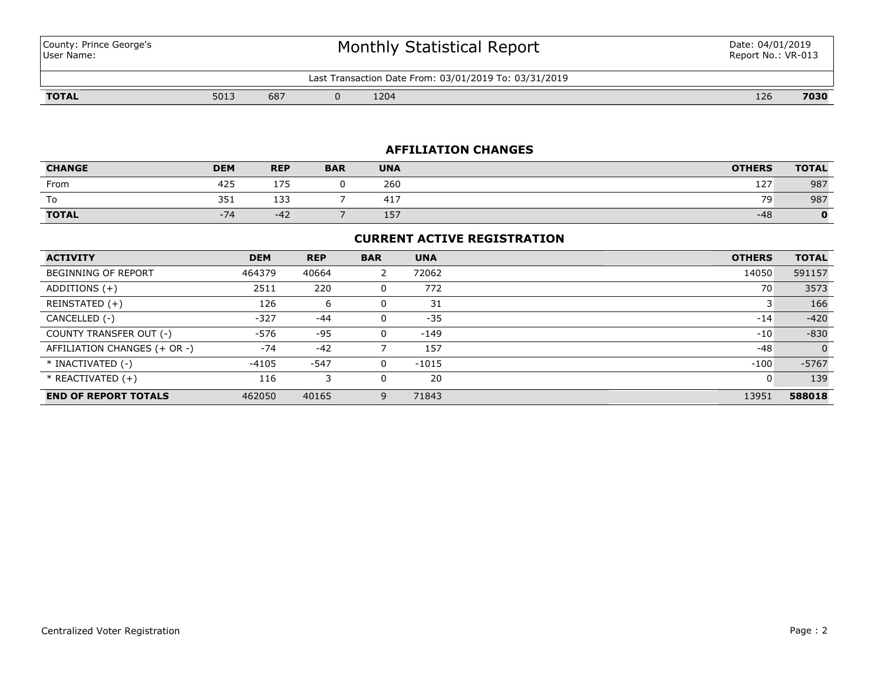| County: Prince George's |  |
|-------------------------|--|
| User Name:              |  |

# Monthly Statistical Report

Last Transaction Date From: 03/01/2019 To: 03/31/2019

**TOTAL** 5013 687 0 1204 126 **7030**

## **AFFILIATION CHANGES**

| <b>CHANGE</b> | <b>DEM</b>          | <b>REP</b> | <b>BAR</b> | <b>UNA</b>                                          | <b>OTHERS</b> | <b>TOTAL</b> |
|---------------|---------------------|------------|------------|-----------------------------------------------------|---------------|--------------|
| From          | 425                 | 175        |            | 260                                                 | 127           | 987          |
| To            | 351                 | 133        |            | $\overline{A}$ $\overline{A}$ $\overline{B}$<br>41. | 79<br>.       | 987          |
| <b>TOTAL</b>  | $-74$<br>$\sqrt{ }$ | ے 4−       |            | 157                                                 | $-48$         |              |

## **CURRENT ACTIVE REGISTRATION**

| <b>ACTIVITY</b>              | <b>DEM</b> | <b>REP</b> | <b>BAR</b> | <b>UNA</b> | <b>OTHERS</b> | <b>TOTAL</b>   |
|------------------------------|------------|------------|------------|------------|---------------|----------------|
| BEGINNING OF REPORT          | 464379     | 40664      | 2          | 72062      | 14050         | 591157         |
| ADDITIONS $(+)$              | 2511       | 220        |            | 772        | 70            | 3573           |
| REINSTATED (+)               | 126        | 6          | 0          | 31         |               | 166            |
| CANCELLED (-)                | $-327$     | $-44$      |            | $-35$      | $-14$         | $-420$         |
| COUNTY TRANSFER OUT (-)      | -576       | -95        | 0          | -149       | $-10$         | $-830$         |
| AFFILIATION CHANGES (+ OR -) | $-74$      | $-42$      |            | 157        | $-48$         | $\overline{0}$ |
| * INACTIVATED (-)            | $-4105$    | $-547$     |            | $-1015$    | $-100$        | $-5767$        |
| * REACTIVATED (+)            | 116        | 3          |            | 20         | O             | 139            |
| <b>END OF REPORT TOTALS</b>  | 462050     | 40165      | 9          | 71843      | 13951         | 588018         |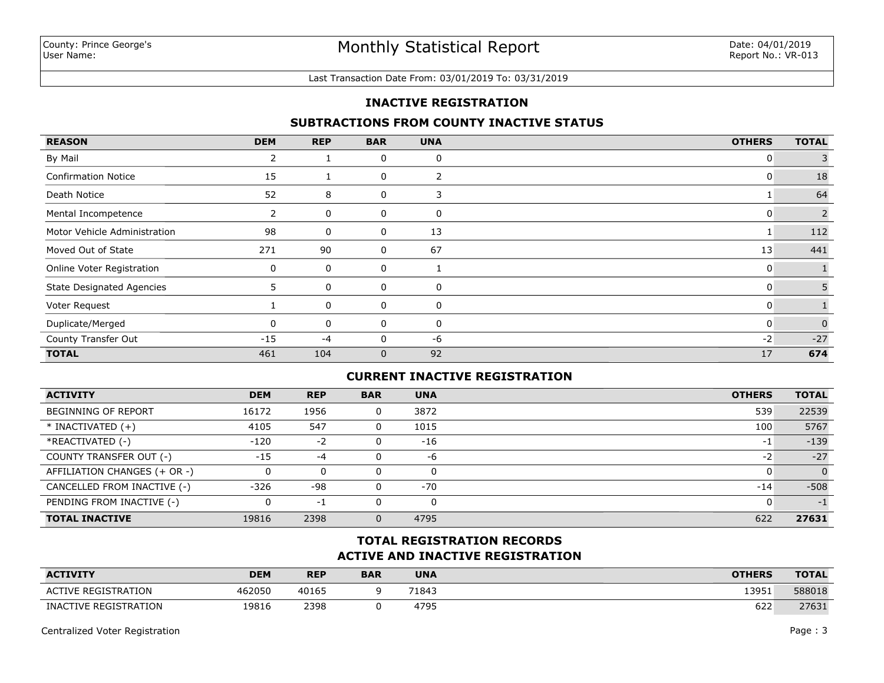#### Last Transaction Date From: 03/01/2019 To: 03/31/2019

## **INACTIVE REGISTRATION**

## **SUBTRACTIONS FROM COUNTY INACTIVE STATUS**

| <b>REASON</b>                    | <b>DEM</b>   | <b>REP</b> | <b>BAR</b>   | <b>UNA</b> | <b>OTHERS</b> | <b>TOTAL</b> |
|----------------------------------|--------------|------------|--------------|------------|---------------|--------------|
| By Mail                          | 2            |            | 0            | 0          | 0             |              |
| <b>Confirmation Notice</b>       | 15           |            | 0            | 2          | 0             | 18           |
| Death Notice                     | 52           | 8          | 0            | 3          |               | 64           |
| Mental Incompetence              | ∠            | 0          | 0            | 0          | 0             | 2            |
| Motor Vehicle Administration     | 98           | 0          | 0            | 13         |               | 112          |
| Moved Out of State               | 271          | 90         | 0            | 67         | 13            | 441          |
| Online Voter Registration        | 0            | 0          | 0            |            | 0             |              |
| <b>State Designated Agencies</b> | 5.           | 0          | 0            | 0          | 0             | 5            |
| Voter Request                    |              | 0          | 0            | 0          | 0             |              |
| Duplicate/Merged                 | <sup>0</sup> | 0          | 0            | 0          | 0             | $\Omega$     |
| County Transfer Out              | $-15$        | $-4$       | 0            | -6         | $-2$          | $-27$        |
| <b>TOTAL</b>                     | 461          | 104        | $\mathbf{0}$ | 92         | 17            | 674          |

## **CURRENT INACTIVE REGISTRATION**

| <b>ACTIVITY</b>              | <b>DEM</b> | <b>REP</b> | <b>BAR</b> | <b>UNA</b> | <b>OTHERS</b> | <b>TOTAL</b> |
|------------------------------|------------|------------|------------|------------|---------------|--------------|
| BEGINNING OF REPORT          | 16172      | 1956       | 0          | 3872       | 539           | 22539        |
| $*$ INACTIVATED $(+)$        | 4105       | 547        | 0          | 1015       | 100           | 5767         |
| *REACTIVATED (-)             | $-120$     | $-2$       | 0          | $-16$      | -1            | $-139$       |
| COUNTY TRANSFER OUT (-)      | $-15$      | $-4$       | 0          | -6         | -2            | $-27$        |
| AFFILIATION CHANGES (+ OR -) |            | 0          |            |            |               | $\Omega$     |
| CANCELLED FROM INACTIVE (-)  | $-326$     | $-98$      | 0          | $-70$      | $-14$         | $-508$       |
| PENDING FROM INACTIVE (-)    |            | -1         |            |            |               | $-1$         |
| <b>TOTAL INACTIVE</b>        | 19816      | 2398       |            | 4795       | 622           | 27631        |

# **ACTIVE AND INACTIVE REGISTRATION TOTAL REGISTRATION RECORDS**

| <b>ACTIVITY</b>            | <b>DEM</b> | <b>REP</b> | <b>BAR</b> | <b>UNA</b> | <b>OTHERS</b> | <b>TOTAL</b> |
|----------------------------|------------|------------|------------|------------|---------------|--------------|
| <b>ACTIVE REGISTRATION</b> | 462050     | 40165      |            | 71843      | 13951         | 588018       |
| INACTIVE REGISTRATION      | 19816      | 2398       |            | 4795       | 622           | 27631        |